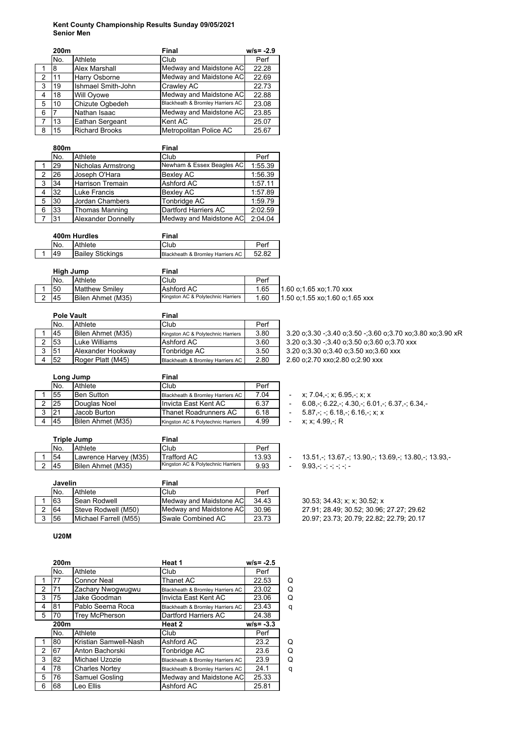## **Kent County Championship Results Sunday 09/05/2021 Senior Men**

|   | 200m |                           | Final                            | $w/s = -2.9$ |
|---|------|---------------------------|----------------------------------|--------------|
|   | No.  | Athlete                   | Club                             | Perf         |
|   | 8    | <b>Alex Marshall</b>      | Medway and Maidstone AC          | 22.28        |
| 2 | 11   | Harry Osborne             | Medway and Maidstone AC          | 22.69        |
| 3 | 19   | <b>Ishmael Smith-John</b> | Crawley AC                       | 22.73        |
| 4 | 18   | Will Oyowe                | Medway and Maidstone AC          | 22.88        |
| 5 | 10   | Chizute Ogbedeh           | Blackheath & Bromley Harriers AC | 23.08        |
| 6 |      | Nathan Isaac              | Medway and Maidstone AC          | 23.85        |
| 7 | 13   | Eathan Sergeant           | Kent AC                          | 25.07        |
| 8 | 15   | <b>Richard Brooks</b>     | Metropolitan Police AC           | 25.67        |

|   | 800m |                           | Final                     |         |  |
|---|------|---------------------------|---------------------------|---------|--|
|   | No.  | Athlete                   | Club                      | Perf    |  |
|   | 29   | Nicholas Armstrong        | Newham & Essex Beagles AC | 1:55.39 |  |
| 2 | 26   | Joseph O'Hara             | <b>Bexley AC</b>          | 1:56.39 |  |
| 3 | 34   | <b>Harrison Tremain</b>   | Ashford AC                | 1:57.11 |  |
| 4 | 32   | Luke Francis              | <b>Bexley AC</b>          | 1:57.89 |  |
| 5 | 30   | Jordan Chambers           | Tonbridge AC              | 1:59.79 |  |
| 6 | 33   | Thomas Manning            | Dartford Harriers AC      | 2:02.59 |  |
|   | 31   | <b>Alexander Donnelly</b> | Medway and Maidstone AC   | 2:04.04 |  |

| 400m Hurdles |                         | Final                            |       |
|--------------|-------------------------|----------------------------------|-------|
| No.          | Athlete                 | Club                             | Perf  |
| 49           | <b>Bailey Stickings</b> | Blackheath & Bromley Harriers AC | 52.82 |

|  | High Jump |                          | Final                              |      |                                |
|--|-----------|--------------------------|------------------------------------|------|--------------------------------|
|  | No.       | Athlete                  | Club                               | Perf |                                |
|  | 50        | <b>Matthew Smilev</b>    | Ashford AC                         | 1.65 | 11.60 o:1.65 xo:1.70 xxx       |
|  | 145       | <b>Bilen Ahmet (M35)</b> | Kingston AC & Polytechnic Harriers | 1.60 | 1.50 o:1.55 xo:1.60 o:1.65 xxx |

|   | <b>Pole Vault</b> |                          | Final                              |      |  |
|---|-------------------|--------------------------|------------------------------------|------|--|
|   | No.               | Athlete                  | Club                               | Perf |  |
|   | 45                | <b>Bilen Ahmet (M35)</b> | Kingston AC & Polytechnic Harriers | 3.80 |  |
|   | 53                | Luke Williams            | Ashford AC                         | 3.60 |  |
| 3 | 51                | Alexander Hookwav        | Tonbridge AC                       | 3.50 |  |
|   | 52                | Roger Platt (M45)        | Blackheath & Bromley Harriers AC   | 2.80 |  |

1 45 Bilen Ahmet (M35) Kingston AC & Polytechnic Harriers 3.80 3.20 o;3.30 -;3.40 o;3.50 -;3.60 o;3.70 xo;3.80 xo;3.90 xR 3.20 o;3.30 -;3.40 o;3.50 o;3.60 o;3.70 xxx 3.20 o;3.30 o;3.40 o;3.50 xo;3.60 xxx 2 60 o;2.70 xxo;2.80 o;2.90 xxx

|   | Long Jump |                   | Final                              |      |  |
|---|-----------|-------------------|------------------------------------|------|--|
|   | No.       | Athlete           | Club                               | Perf |  |
|   | 55        | <b>Ben Sutton</b> | Blackheath & Bromley Harriers AC   | 7.04 |  |
|   | 25        | Douglas Noel      | Invicta East Kent AC               | 6.37 |  |
| 3 | 21        | Jacob Burton      | <b>Thanet Roadrunners AC</b>       | 6.18 |  |
|   | 45        | Bilen Ahmet (M35) | Kingston AC & Polytechnic Harriers | 4.99 |  |

| Triple Jump |                       | Final                              |       |
|-------------|-----------------------|------------------------------------|-------|
| No.         | Athlete               | Club                               | Perf  |
| 54          | Lawrence Harvey (M35) | <b>Trafford AC</b>                 | 13.93 |
| 45          | Bilen Ahmet (M35)     | Kingston AC & Polytechnic Harriers | 9.93  |

|   | <b>Javelin</b> |                       | Final                   |       |
|---|----------------|-----------------------|-------------------------|-------|
|   | No.            | Athlete               | Club                    | Perf  |
|   | 63             | <b>Sean Rodwell</b>   | Medway and Maidstone AC | 34.43 |
|   | 64             | Steve Rodwell (M50)   | Medway and Maidstone AC | 30.96 |
| 3 | 56             | Michael Farrell (M55) | Swale Combined AC       | 23.73 |

#### **U20M**

|   | 200m |                       | Heat 1                           | $w/s = -2.5$ |   |
|---|------|-----------------------|----------------------------------|--------------|---|
|   | No.  | Athlete               | Club                             | Perf         |   |
| 1 | 77   | <b>Connor Neal</b>    | <b>Thanet AC</b>                 | 22.53        | Q |
| 2 | 71   | Zachary Nwogwugwu     | Blackheath & Bromley Harriers AC | 23.02        | Q |
| 3 | 75   | Jake Goodman          | Invicta East Kent AC             | 23.06        | Q |
| 4 | 81   | Pablo Seema Roca      | Blackheath & Bromley Harriers AC | 23.43        | q |
| 5 | 70   | <b>Trey McPherson</b> | Dartford Harriers AC             | 24.38        |   |
|   | 200m |                       | Heat 2                           | $w/s = -3.3$ |   |
|   | No.  | Athlete               | Club                             | Perf         |   |
| 1 | 80   | Kristian Samwell-Nash | Ashford AC                       | 23.2         | Q |
| 2 | 67   | Anton Bachorski       | Tonbridge AC                     | 23.6         | Q |
| 3 | 82   | Michael Uzozie        | Blackheath & Bromley Harriers AC | 23.9         | Q |
| 4 | 78   | <b>Charles Nortey</b> | Blackheath & Bromley Harriers AC | 24.1         | q |
| 5 | 76   | Samuel Gosling        | Medway and Maidstone AC          | 25.33        |   |
| 6 | 68   | Leo Ellis             | Ashford AC                       | 25.81        |   |

 $-$  x; 7.04,-; x; 6.95,-; x; x

 $-6.08, -$ ; 6.22,-; 4.30,-; 6.01,-; 6.37,-; 6.34,-

 $-5.87, -; -; 6.18, -; 6.16, -; x; x$ 

 $- x; x; 4.99, \cdot; R$ 

 $-$  13.51,-; 13.67,-; 13.90,-; 13.69,-; 13.80,-; 13.93,-

 $-$  9.93,-; -; -; -; -; -; -

30.53; 34.43; x; x; 30.52; x 27.91; 28.49; 30.52; 30.96; 27.27; 29.62 3 56 Michael Farrell (M55) Swale Combined AC 23.73 20.97; 23.73; 20.79; 22.82; 22.79; 20.17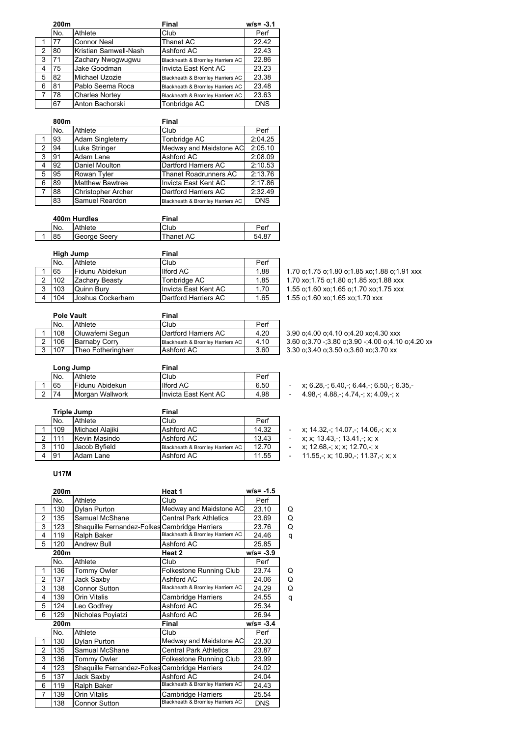|   | 200m |                       | Final                            | $w/s = -3.1$ |
|---|------|-----------------------|----------------------------------|--------------|
|   | No.  | Athlete               | Club                             | Perf         |
|   | 77   | <b>Connor Neal</b>    | Thanet AC                        | 22.42        |
| 2 | 80   | Kristian Samwell-Nash | Ashford AC                       | 22.43        |
| 3 | 71   | Zachary Nwogwugwu     | Blackheath & Bromley Harriers AC | 22.86        |
| 4 | 75   | Jake Goodman          | Invicta East Kent AC             | 23.23        |
| 5 | 82   | Michael Uzozie        | Blackheath & Bromley Harriers AC | 23.38        |
| 6 | 81   | Pablo Seema Roca      | Blackheath & Bromley Harriers AC | 23.48        |
|   | 78   | <b>Charles Nortey</b> | Blackheath & Bromley Harriers AC | 23.63        |
|   | 67   | Anton Bachorski       | Tonbridge AC                     | <b>DNS</b>   |

|   | 800m |                           | Final                            |            |
|---|------|---------------------------|----------------------------------|------------|
|   | No.  | Athlete                   | Club                             | Perf       |
|   | 93   | <b>Adam Singleterry</b>   | Tonbridge AC                     | 2:04.25    |
| 2 | 94   | Luke Stringer             | Medway and Maidstone AC          | 2:05.10    |
| 3 | 191  | Adam Lane                 | Ashford AC                       | 2:08.09    |
| 4 | 92   | Daniel Moulton            | Dartford Harriers AC             | 2:10.53    |
| 5 | 95   | Rowan Tyler               | <b>Thanet Roadrunners AC</b>     | 2:13.76    |
| 6 | 89   | <b>Matthew Bawtree</b>    | Invicta East Kent AC             | 2:17.86    |
| 7 | 88   | <b>Christopher Archer</b> | Dartford Harriers AC             | 2:32.49    |
|   | 83   | Samuel Reardon            | Blackheath & Bromley Harriers AC | <b>DNS</b> |

| 400m Hurdles |              | Final     |       |
|--------------|--------------|-----------|-------|
| No.          | Athlete      | Club      | Perf  |
| 85           | George Seerv | Thanet AC | 54.87 |

| High Jump |                  | Final                       |      |                                      |
|-----------|------------------|-----------------------------|------|--------------------------------------|
| No.       | Athlete          | Club                        | Perf |                                      |
| 65        | Fidunu Abidekun  | Ilford AC                   | 1.88 | 1.70 o:1.75 o:1.80 o:1.85 xo:1.8     |
| 102       | Zachary Beasty   | Tonbridge AC                | 1.85 | 1.70 xo; 1.75 o; 1.80 o; 1.85 xo; 1. |
| 103       | Quinn Bury       | Invicta East Kent AC        | 1.70 | 1.55 o:1.60 xo:1.65 o:1.70 xo:1.     |
| 104       | Joshua Cockerham | <b>Dartford Harriers AC</b> | 1.65 | 1.55 o.1.60 xo.1.65 xo.1.70 xxx      |
|           |                  |                             |      |                                      |

1.70 o;1.75 o;1.80 o;1.85 xo;1.88 o;1.91 xxx 1.70 xo;1.75 o;1.80 o;1.85 xo;1.88 xxx 1.55 o;1.60 xo;1.65 o;1.70 xo;1.75 xxx

| <b>Pole Vault</b> |                   | Final                            |      |  |
|-------------------|-------------------|----------------------------------|------|--|
| No.               | Athlete           | Club                             | Perf |  |
| 108               | Oluwafemi Segun   | Dartford Harriers AC             | 4.20 |  |
| 106               | Barnaby Corn      | Blackheath & Bromley Harriers AC | 4.10 |  |
| 107               | Theo Fotheringhan | Ashford AC                       | 3.60 |  |

 $3.90$  o;4.00 o;4.10 o;4.20 xo;4.30 xxx  $3.60$  o; $3.70$  -; $3.80$  o; $3.90$  -; $4.00$  o; $4.10$  o; $4.20$  xx 3.30 o;3.40 o;3.50 o;3.60 xo;3.70 xx

| Long Jump |                  | Final                |      |  |
|-----------|------------------|----------------------|------|--|
| No.       | Athlete          | Club                 | Perf |  |
| 65        | lFidunu Abidekun | <b>Ilford AC</b>     | 6.50 |  |
| 74        | IMorgan Wallwork | Invicta East Kent AC | 4.98 |  |

|   | Triple Jump |                 | Final                            |       |  |
|---|-------------|-----------------|----------------------------------|-------|--|
|   | No.         | Athlete         | Club                             | Perf  |  |
|   | 109         | Michael Alajiki | Ashford AC                       | 14.32 |  |
|   | 111         | Kevin Masindo   | Ashford AC                       | 13.43 |  |
| 3 | 110         | Jacob Byfield   | Blackheath & Bromley Harriers AC | 12.70 |  |
|   | 91          | Adam Lane       | Ashford AC                       | 11.55 |  |

## **U17M**

|                | 200m |                                               | Heat 1                           | $w/s = -1.5$ |   |
|----------------|------|-----------------------------------------------|----------------------------------|--------------|---|
|                | No.  | Athlete                                       | Club                             | Perf         |   |
| 1              | 130  | Dylan Purton                                  | Medway and Maidstone AC          | 23.10        | Q |
| $\overline{2}$ | 135  | Samual McShane                                | <b>Central Park Athletics</b>    | 23.69        | Q |
| 3              | 123  | Shaquille Fernandez-Folkes Cambridge Harriers |                                  | 23.76        | Q |
| 4              | 119  | Ralph Baker                                   | Blackheath & Bromley Harriers AC | 24.46        | q |
| 5              | 120  | <b>Andrew Bull</b>                            | Ashford AC                       | 25.85        |   |
|                | 200m |                                               | Heat 2                           | $w/s = -3.9$ |   |
|                | No.  | Athlete                                       | Club                             | Perf         |   |
| $\mathbf 1$    | 136  | Tommy Owler                                   | <b>Folkestone Running Club</b>   | 23.74        | Q |
| 2              | 137  | Jack Saxby                                    | Ashford AC                       | 24.06        | Q |
| 3              | 138  | <b>Connor Sutton</b>                          | Blackheath & Bromley Harriers AC | 24.29        | Q |
| 4              | 139  | Orin Vitalis                                  | Cambridge Harriers               | 24.55        | q |
| 5              | 124  | Leo Godfrey                                   | Ashford AC                       | 25.34        |   |
| 6              | 129  | Nicholas Poviatzi                             | Ashford AC                       | 26.94        |   |
|                | 200m |                                               | Final                            | $w/s = -3.4$ |   |
|                | No.  | Athlete                                       | Club                             | Perf         |   |
| 1              | 130  | Dylan Purton                                  | Medway and Maidstone AC          | 23.30        |   |
| $\overline{2}$ | 135  | Samual McShane                                | <b>Central Park Athletics</b>    | 23.87        |   |
| 3              | 136  | Tommy Owler                                   | <b>Folkestone Running Club</b>   | 23.99        |   |
| 4              | 123  | Shaquille Fernandez-Folkes Cambridge Harriers |                                  | 24.02        |   |
| 5              | 137  | Jack Saxby                                    | Ashford AC                       | 24.04        |   |
| 6              | 119  | Ralph Baker                                   | Blackheath & Bromley Harriers AC | 24.43        |   |
| 7              | 139  | Orin Vitalis                                  | Cambridge Harriers               | 25.54        |   |
|                | 138  | <b>Connor Sutton</b>                          | Blackheath & Bromley Harriers AC | <b>DNS</b>   |   |

- $x; 6.28, -; 6.40, -; 6.44, -; 6.50, -; 6.35, -$
- $-4.98, -; 4.88, -; 4.74, -; x; 4.09, -; x$

## $\cdot$  x; 14.32,-; 14.07,-; 14.06,-; x; x

- $-$  x; x; 13.43,-; 13.41,-; x; x
- 3 12.68,-; x; x; 12.70,-; x<br>4 11.55 -: x; 10.90 -: 11.37
- $11.55, \frac{1}{2}$ ; x; 10.90,-; 11.37,-; x; x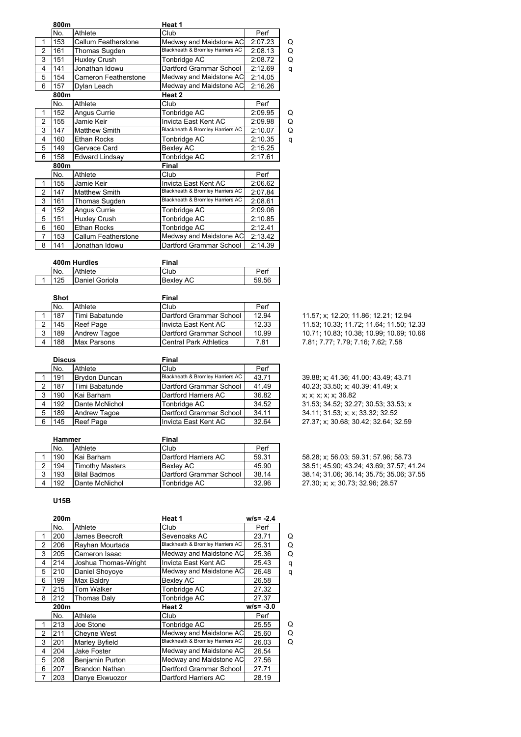|                | 800m |                             | Heat 1                           |         |   |
|----------------|------|-----------------------------|----------------------------------|---------|---|
|                | No.  | Athlete                     | Club                             | Perf    |   |
| 1              | 153  | <b>Callum Featherstone</b>  | Medway and Maidstone AC          | 2:07.23 | Q |
| 2              | 161  | Thomas Sugden               | Blackheath & Bromley Harriers AC | 2:08.13 | Q |
| 3              | 151  | Huxley Crush                | Tonbridge AC                     | 2:08.72 | Q |
| 4              | 141  | Jonathan Idowu              | Dartford Grammar School          | 2:12.69 | q |
| 5              | 154  | <b>Cameron Featherstone</b> | Medway and Maidstone AC          | 2:14.05 |   |
| 6              | 157  | Dylan Leach                 | Medway and Maidstone AC          | 2:16.26 |   |
|                | 800m |                             | Heat <sub>2</sub>                |         |   |
|                | No.  | Athlete                     | Club                             | Perf    |   |
| 1              | 152  | Angus Currie                | Tonbridge AC                     | 2:09.95 | Q |
| $\overline{2}$ | 155  | Jamie Keir                  | Invicta East Kent AC             | 2:09.98 | Q |
| 3              | 147  | <b>Matthew Smith</b>        | Blackheath & Bromley Harriers AC | 2:10.07 | Q |
| 4              | 160  | <b>Ethan Rocks</b>          | Tonbridge AC                     | 2:10.35 | q |
| 5              | 149  | Gervace Card                | Bexley AC                        | 2:15.25 |   |
| 6              | 158  | <b>Edward Lindsay</b>       | Tonbridge AC                     | 2:17.61 |   |
|                | 800m |                             | Final                            |         |   |
|                | No.  | Athlete                     | Club                             | Perf    |   |
| 1              | 155  | Jamie Keir                  | Invicta East Kent AC             | 2:06.62 |   |
| $\overline{2}$ | 147  | <b>Matthew Smith</b>        | Blackheath & Bromley Harriers AC | 2:07.84 |   |
| 3              | 161  | Thomas Sugden               | Blackheath & Bromley Harriers AC | 2:08.61 |   |
| 4              | 152  | Angus Currie                | Tonbridge AC                     | 2:09.06 |   |
| 5              | 151  | Huxley Crush                | Tonbridge AC                     | 2:10.85 |   |
| 6              | 160  | <b>Ethan Rocks</b>          | Tonbridge AC                     | 2:12.41 |   |
| 7              | 153  | <b>Callum Featherstone</b>  | Medway and Maidstone AC          | 2:13.42 |   |
| 8              | 141  | Jonathan Idowu              | Dartford Grammar School          | 2:14.39 |   |

| 400m Hurdles |     |                | Final     |       |  |
|--------------|-----|----------------|-----------|-------|--|
|              | No. | Athlete        | Club      | Perf  |  |
|              | 125 | Daniel Goriola | Bexlev AC | 59.56 |  |

| Shot |                | Final                         |       |                                    |
|------|----------------|-------------------------------|-------|------------------------------------|
| No.  | Athlete        | Club                          | Perf  |                                    |
| 187  | Timi Babatunde | Dartford Grammar School       | 12.94 | 11.57; x; 12.20; 11.86; 12.21; 12. |
| 145  | Reef Page      | IInvicta East Kent AC_        | 12.33 | 11.53; 10.33; 11.72; 11.64; 11.50  |
| 189  | Andrew Tagoe   | Dartford Grammar School       | 10.99 | 10.71; 10.83; 10.38; 10.99; 10.69  |
| 188  | Max Parsons    | <b>Central Park Athletics</b> | 7.81  | 7.81: 7.77: 7.79: 7.16: 7.62: 7.58 |
| 3    |                |                               |       |                                    |

|   | <b>Discus</b> |                      | <b>Final</b>                     |       |  |
|---|---------------|----------------------|----------------------------------|-------|--|
|   | No.           | Athlete              | Club                             | Perf  |  |
|   | 191           | <b>Brydon Duncan</b> | Blackheath & Bromley Harriers AC | 43.71 |  |
| 2 | 187           | Timi Babatunde       | Dartford Grammar School          | 41.49 |  |
| 3 | 190           | Kai Barham           | Dartford Harriers AC             | 36.82 |  |
|   | 192           | Dante McNichol       | Tonbridge AC                     | 34.52 |  |
| 5 | 189           | <b>Andrew Tagoe</b>  | Dartford Grammar School          | 34.11 |  |
| 6 | 145           | <b>Reef Page</b>     | Invicta East Kent AC             | 32.64 |  |

|   | <b>Hammer</b> |                        | Final                   |       |  |
|---|---------------|------------------------|-------------------------|-------|--|
|   | No.           | Athlete                | Club                    | Perf  |  |
|   | 190           | Kai Barham             | Dartford Harriers AC    | 59.31 |  |
|   | 194           | <b>Timothy Masters</b> | <b>Bexlev AC</b>        | 45.90 |  |
| 3 | 193           | <b>Bilal Badmos</b>    | Dartford Grammar School | 38.14 |  |
|   | 192           | Dante McNichol         | Tonbridge AC            | 32.96 |  |

**U15B**

|   | 200m |                        | Heat 1                           | $w/s = -2.4$ |   |
|---|------|------------------------|----------------------------------|--------------|---|
|   | No.  | Athlete                | Club                             | Perf         |   |
| 1 | 200  | James Beecroft         | Sevenoaks AC                     | 23.71        | Q |
| 2 | 206  | Rayhan Mourtada        | Blackheath & Bromley Harriers AC | 25.31        | Q |
| 3 | 205  | Cameron Isaac          | Medway and Maidstone AC          | 25.36        | Q |
| 4 | 214  | Joshua Thomas-Wright   | Invicta East Kent AC             | 25.43        | q |
| 5 | 210  | Daniel Shoyoye         | Medway and Maidstone AC          | 26.48        | q |
| 6 | 199  | Max Baldry             | <b>Bexley AC</b>                 | 26.58        |   |
| 7 | 215  | Tom Walker             | Tonbridge AC                     | 27.32        |   |
| 8 | 212  | Thomas Daly            | Tonbridge AC                     | 27.37        |   |
|   | 200m |                        | Heat 2                           | $w/s = -3.0$ |   |
|   | No.  | Athlete                | Club                             | Perf         |   |
| 1 | 213  | Joe Stone              | Tonbridge AC                     | 25.55        | Q |
| 2 | 211  | Cheyne West            | Medway and Maidstone AC          | 25.60        | Q |
| 3 | 201  | Marley Byfield         | Blackheath & Bromley Harriers AC | 26.03        | Q |
| 4 | 204  | Jake Foster            | Medway and Maidstone AC          | 26.54        |   |
| 5 | 208  | <b>Benjamin Purton</b> | Medway and Maidstone AC          | 27.56        |   |
| 6 | 207  | <b>Brandon Nathan</b>  | Dartford Grammar School          | 27.71        |   |
| 7 | 203  | Danye Ekwuozor         | Dartford Harriers AC             | 28.19        |   |

11.57; x; 12.20; 11.86; 12.21; 12.94 2 145 Reef Page Invicta East Kent AC 12.33 11.53; 10.33; 11.72; 11.64; 11.50; 12.33 3 189 Andrew Tagoe Dartford Grammar School 10.99 10.71; 10.83; 10.38; 10.99; 10.69; 10.66

 $\frac{1}{39.88}$ ; x; 41.36; 41.00; 43.49; 43.71  $\frac{1}{2}$  40.23; 33.50; x; 40.39; 41.49; x  $\frac{1}{2}$  x; x; x; x; x; 36.82  $\overline{31.53}$ ; 34.52; 32.27; 30.53; 33.53; x  $\overline{34.11}$ ; 31.53; x; x; 33.32; 32.52 27.37; x; 30.68; 30.42; 32.64; 32.59

> 58.28; x; 56.03; 59.31; 57.96; 58.73 2 194 Timothy Masters Bexley AC 45.90 38.51; 45.90; 43.24; 43.69; 37.57; 41.24 38.14; 31.06; 36.14; 35.75; 35.06; 37.55 27 30; x; x; 30.73; 32.96; 28.57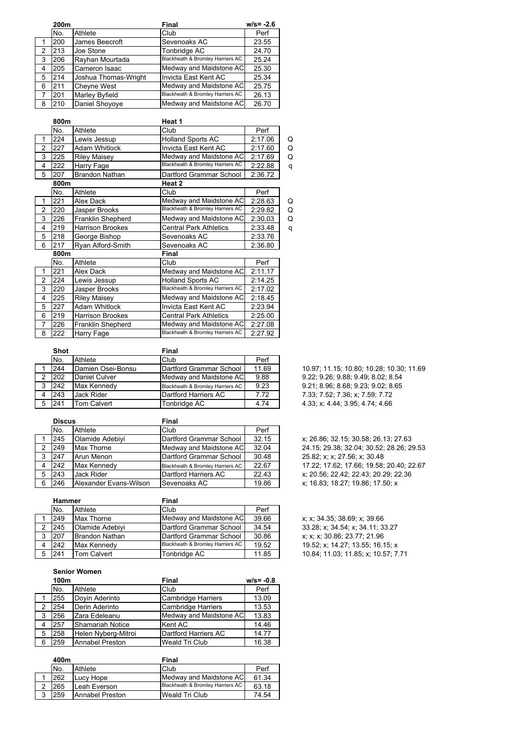|   | 200m |                       | Final                            | $w/s = -2.6$ |
|---|------|-----------------------|----------------------------------|--------------|
|   | No.  | Athlete               | Club                             | Perf         |
|   | 200  | James Beecroft        | Sevenoaks AC                     | 23.55        |
| 2 | 213  | Joe Stone             | Tonbridge AC                     | 24.70        |
| 3 | 206  | Rayhan Mourtada       | Blackheath & Bromley Harriers AC | 25.24        |
| 4 | 205  | Cameron Isaac         | Medway and Maidstone AC          | 25.30        |
| 5 | 214  | Joshua Thomas-Wright  | Invicta East Kent AC             | 25.34        |
| 6 | 211  | <b>Cheyne West</b>    | Medway and Maidstone AC          | 25.75        |
|   | 201  | <b>Marley Byfield</b> | Blackheath & Bromley Harriers AC | 26.13        |
| 8 | 210  | Daniel Shoyoye        | Medway and Maidstone AC          | 26.70        |

|                | 800m |                          | Heat 1                           |         |   |
|----------------|------|--------------------------|----------------------------------|---------|---|
|                | No.  | Athlete                  | Club                             | Perf    |   |
| 1              | 224  | Lewis Jessup             | <b>Holland Sports AC</b>         | 2:17.06 | Q |
| $\overline{2}$ | 227  | <b>Adam Whitlock</b>     | Invicta East Kent AC             | 2:17.60 | Q |
| 3              | 225  | <b>Riley Maisey</b>      | Medway and Maidstone AC          | 2:17.69 | Q |
| 4              | 222  | Harry Fage               | Blackheath & Bromley Harriers AC | 2:22.88 | q |
| 5              | 207  | <b>Brandon Nathan</b>    | Dartford Grammar School          | 2:36.72 |   |
|                | 800m |                          | Heat 2                           |         |   |
|                | No.  | Athlete                  | Club                             | Perf    |   |
| 1              | 221  | Alex Dack                | Medway and Maidstone AC          | 2:28.63 | Q |
| $\overline{2}$ | 220  | Jasper Brooks            | Blackheath & Bromley Harriers AC | 2:29.82 | Q |
| 3              | 226  | <b>Franklin Shepherd</b> | Medway and Maidstone AC          | 2:30.03 | Q |
| 4              | 219  | <b>Harrison Brookes</b>  | <b>Central Park Athletics</b>    | 2:33.48 | q |
| 5              | 218  | George Bishop            | Sevenoaks AC                     | 2:33.76 |   |
| 6              | 217  | Ryan Alford-Smith        | Sevenoaks AC                     | 2:36.80 |   |
|                | 800m |                          | Final                            |         |   |
|                | No.  | Athlete                  | Club                             | Perf    |   |
| 1              | 221  | Alex Dack                | Medway and Maidstone AC          | 2:11.17 |   |
| $\overline{2}$ | 224  | Lewis Jessup             | <b>Holland Sports AC</b>         | 2:14.25 |   |
| 3              | 220  | Jasper Brooks            | Blackheath & Bromley Harriers AC | 2:17.02 |   |
| 4              | 225  | <b>Riley Maisey</b>      | Medway and Maidstone AC          | 2:18.45 |   |
| 5              | 227  | Adam Whitlock            | Invicta East Kent AC             | 2:23.94 |   |
| 6              | 219  | <b>Harrison Brookes</b>  | <b>Central Park Athletics</b>    | 2:25.00 |   |
| 7              | 226  | Franklin Shepherd        | Medway and Maidstone AC          | 2:27.08 |   |
| 8              | 222  | Harry Fage               | Blackheath & Bromley Harriers AC | 2:27.92 |   |

|   | <b>Shot</b> |                   | Final                            |       |
|---|-------------|-------------------|----------------------------------|-------|
|   | No.         | Athlete           | Club                             | Perf  |
|   | 244         | Damien Osei-Bonsu | Dartford Grammar School          | 11.69 |
| 2 | 202         | Daniel Culver     | Medway and Maidstone AC          | 9.88  |
| 3 | 242         | Max Kennedy       | Blackheath & Bromley Harriers AC | 9.23  |
|   | 243         | <b>Jack Rider</b> | <b>Dartford Harriers AC</b>      | 7.72  |
|   | 241         | Tom Calvert       | Tonbridge AC                     | 4 74  |

|   | <b>Discus</b> |                        | Final                            |       |
|---|---------------|------------------------|----------------------------------|-------|
|   | No.           | Athlete                | Club                             | Perf  |
|   | 245           | Olamide Adebiyi        | Dartford Grammar School          | 32.15 |
| 2 | 249           | <b>Max Thorne</b>      | Medway and Maidstone AC          | 32.04 |
| 3 | 247           | Arun Menon             | Dartford Grammar School          | 30.48 |
| 4 | 242           | Max Kennedy            | Blackheath & Bromley Harriers AC | 22.67 |
| 5 | 243           | Jack Rider             | Dartford Harriers AC             | 22.43 |
| 6 | 246           | Alexander Evans-Wilson | Sevenoaks AC                     | 19.86 |

| <b>Hammer</b> |                       | Final                            |       |                                     |
|---------------|-----------------------|----------------------------------|-------|-------------------------------------|
| No.           | Athlete               | Club                             | Perf  |                                     |
| 249           | Max Thorne            | Medway and Maidstone ACI         | 39.66 | x: x: 34.35: 38.69: x: 39.66        |
| 245           | Olamide Adebivi       | Dartford Grammar School          | 34.54 | 33.28: x: 34.54: x: 34.11: 33.27    |
| 207           | <b>Brandon Nathan</b> | Dartford Grammar School          | 30.86 | x; x; x; 30.86; 23.77; 21.96        |
| 242           | Max Kennedy           | Blackheath & Bromley Harriers AC | 19.52 | 19.52: x: 14.27: 13.55: 16.15: x    |
| 241           | Tom Calvert           | Tonbridge AC                     | 11.85 | 10.84; 11.03; 11.85; x; 10.57; 7.71 |

**Senior Women**

|   | 100m | <b>Final</b>        |                           | $w/s = -0.8$ |
|---|------|---------------------|---------------------------|--------------|
|   | No.  | Athlete             | Club                      | Perf         |
|   | 255  | Doyin Aderinto      | <b>Cambridge Harriers</b> | 13.09        |
| 2 | 254  | Derin Aderinto      | <b>Cambridge Harriers</b> | 13.53        |
| 3 | 256  | Zara Edeleanu       | Medway and Maidstone AC   | 13.83        |
| 4 | 257  | Shamariah Notice    | Kent AC                   | 14.46        |
| 5 | 258  | Helen Nyberg-Mitroi | Dartford Harriers AC      | 14.77        |
| 6 | 259  | Annabel Preston     | Weald Tri Club            | 16.38        |

|   | 400m |                 | Final                            |       |
|---|------|-----------------|----------------------------------|-------|
|   | No.  | Athlete         | Club                             | Perf  |
|   | 262  | Lucy Hope       | Medway and Maidstone AC          | 61.34 |
| 2 | 265  | Leah Everson    | Blackheath & Bromley Harriers AC | 63.18 |
| 2 | 259  | Annabel Preston | Weald Tri Club                   | 74.54 |

10.97; 11.15; 10.80; 10.28; 10.30; 11.69 2 202 Daniel Culver Medway and Maidstone AC 9.88 9.22; 9.26; 9.88; 9.49; 8.02; 8.54 9.21; 8.96; 8.68; 9.23; 9.02; 8.65 7.33; 7.52; 7.36; x; 7.59; 7.72 4.33; x; 4.44; 3.95; 4.74; 4.66

x; 26.86; 32.15; 30.58; 26.13; 27.63 24.15; 29.38; 32.04; 30.52; 28.26; 29.53 25.82; x; x; 27.56; x; 30.48 17 22; 17.62; 17.66; 19.58; 20.40; 22.67 x; 20.56; 22.42; 22.43; 20.29; 22.36 x; 16.83; 18.27; 19.86; 17.50; x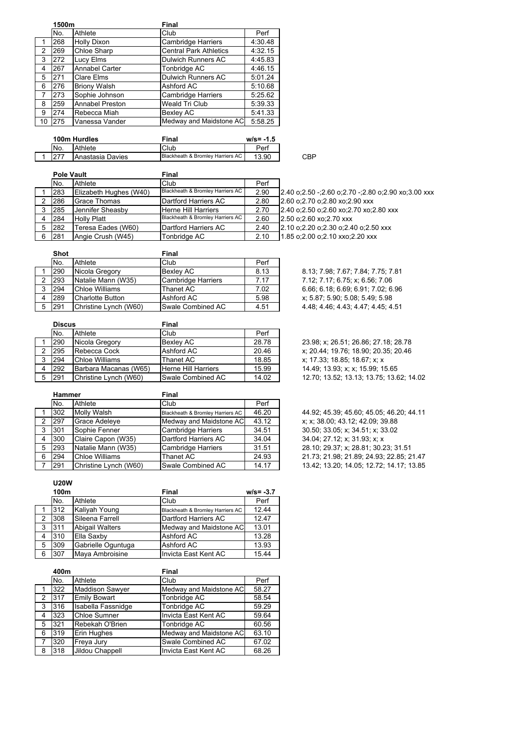|    | 1500m |                        | Final                         |         |  |
|----|-------|------------------------|-------------------------------|---------|--|
|    | No.   | Athlete                | Club                          | Perf    |  |
|    | 268   | <b>Holly Dixon</b>     | <b>Cambridge Harriers</b>     | 4:30.48 |  |
| 2  | 269   | Chloe Sharp            | <b>Central Park Athletics</b> | 4:32.15 |  |
| 3  | 272   | Lucy Elms              | <b>Dulwich Runners AC</b>     | 4:45.83 |  |
| 4  | 267   | <b>Annabel Carter</b>  | Tonbridge AC                  | 4:46.15 |  |
| 5  | 271   | Clare Elms             | <b>Dulwich Runners AC</b>     | 5:01.24 |  |
| 6  | 276   | <b>Briony Walsh</b>    | Ashford AC                    | 5:10.68 |  |
| 7  | 273   | Sophie Johnson         | <b>Cambridge Harriers</b>     | 5:25.62 |  |
| 8  | 259   | <b>Annabel Preston</b> | Weald Tri Club                | 5:39.33 |  |
| 9  | 274   | Rebecca Miah           | <b>Bexley AC</b>              | 5:41.33 |  |
| 10 | 275   | Vanessa Vander         | Medway and Maidstone AC       | 5:58.25 |  |

| 100m Hurdles |                  | Final                            | $w/s = -1.5$ |     |
|--------------|------------------|----------------------------------|--------------|-----|
| No.          | Athlete          | Club                             | Perf         |     |
|              | Anastasia Davies | Blackheath & Bromley Harriers AC | 13.90        | CBP |

|   | <b>Pole Vault</b> |                         | Final                            |      |                                                           |
|---|-------------------|-------------------------|----------------------------------|------|-----------------------------------------------------------|
|   | No.               | Athlete                 | Club                             | Perf |                                                           |
|   | 283               | Elizabeth Hughes (W40)  | Blackheath & Bromley Harriers AC | 2.90 | 2.40 o; 2.50 -; 2.60 o; 2.70 -; 2.80 o; 2.90 xo; 3.00 xxx |
|   | 286               | <b>Grace Thomas</b>     | Dartford Harriers AC             | 2.80 | 2.60 o; 2.70 o; 2.80 xo; 2.90 xxx                         |
|   | 285               | <b>Jennifer Sheasby</b> | <b>Herne Hill Harriers</b>       | 2.70 | 2.40 o; 2.50 o; 2.60 xo; 2.70 xo; 2.80 xxx                |
| 4 | <b>284</b>        | <b>Holly Platt</b>      | Blackheath & Bromley Harriers AC | 2.60 | 2.50 o; 2.60 xo; 2.70 xxx                                 |
| 5 | 282               | Teresa Eades (W60)      | Dartford Harriers AC             | 2.40 | 2.10 o.2.20 o.2.30 o.2.40 o.2.50 xxx                      |
| 6 | 281               | Angie Crush (W45)       | Tonbridge AC                     | 2.10 | 1.85 o; 2.00 o; 2.10 xxo; 2.20 xxx                        |
|   |                   |                         |                                  |      |                                                           |

| <b>Shot</b> |                                                             | Final                                                                                                          |                    |                                    |
|-------------|-------------------------------------------------------------|----------------------------------------------------------------------------------------------------------------|--------------------|------------------------------------|
| No.         |                                                             | Club                                                                                                           | Perf               |                                    |
|             |                                                             | Bexlev AC                                                                                                      | 8.13               | 8.13; 7.98; 7.67; 7.84; 7.75; 7.81 |
|             |                                                             |                                                                                                                | 7.17               | 7.12; 7.17; 6.75; x; 6.56; 7.06    |
|             |                                                             | Thanet AC                                                                                                      | 7.02               | 6.66; 6.18; 6.69; 6.91; 7.02; 6.96 |
|             |                                                             | Ashford AC                                                                                                     | 5.98               | x; 5.87; 5.90; 5.08; 5.49; 5.98    |
|             |                                                             | Swale Combined AC                                                                                              | 4.51               | 4.48: 4.46: 4.43: 4.47: 4.45: 4.51 |
|             | <b>290</b><br><b>293</b><br>294<br><b>289</b><br><b>291</b> | Athlete<br>Nicola Gregory<br>Natalie Mann (W35)<br>Chloe Williams<br>Charlotte Button<br>Christine Lynch (W60) | Cambridge Harriers |                                    |

|   | <b>Discus</b> |                       | Final               |       |  |
|---|---------------|-----------------------|---------------------|-------|--|
|   | No.           | Athlete               | Club                | Perf  |  |
|   | 290           | Nicola Gregory        | <b>Bexley AC</b>    | 28.78 |  |
| 2 | 295           | Rebecca Cock          | Ashford AC          | 20.46 |  |
| 3 | 294           | Chloe Williams        | Thanet AC           | 18.85 |  |
|   | 292           | Barbara Macanas (W65) | Herne Hill Harriers | 15.99 |  |
|   | 291           | Christine Lynch (W60) | Swale Combined AC   | 14.02 |  |

|   | <b>Hammer</b> |                       | Final                            |       |  |
|---|---------------|-----------------------|----------------------------------|-------|--|
|   | No.           | Athlete               | Club                             | Perf  |  |
|   | 302           | Molly Walsh           | Blackheath & Bromley Harriers AC | 46.20 |  |
| 2 | 297           | Grace Adeleye         | Medway and Maidstone AC          | 43.12 |  |
| 3 | 301           | Sophie Fenner         | <b>Cambridge Harriers</b>        | 34.51 |  |
| 4 | 300           | Claire Capon (W35)    | Dartford Harriers AC             | 34.04 |  |
| 5 | 293           | Natalie Mann (W35)    | <b>Cambridge Harriers</b>        | 31.51 |  |
| 6 | 294           | <b>Chloe Williams</b> | Thanet AC                        | 24.93 |  |
|   | 291           | Christine Lynch (W60) | Swale Combined AC                | 14.17 |  |

**U20W**

|   | 100m |                    | Final                            | $w/s = -3.7$ |
|---|------|--------------------|----------------------------------|--------------|
|   | No.  | Athlete            | Club                             | Perf         |
|   | 312  | Kaliyah Young      | Blackheath & Bromley Harriers AC | 12.44        |
| 2 | 308  | Sileena Farrell    | Dartford Harriers AC             | 12.47        |
| 3 | 311  | Abigail Walters    | Medway and Maidstone AC          | 13.01        |
| 4 | 310  | Ella Saxby         | Ashford AC                       | 13.28        |
| 5 | 309  | Gabrielle Oguntuga | Ashford AC                       | 13.93        |
| 6 | 307  | Maya Ambroisine    | Invicta East Kent AC             | 15.44        |

|                | 400m |                        | Final                   |       |
|----------------|------|------------------------|-------------------------|-------|
|                | No.  | Athlete                | Club                    | Perf  |
|                | 322  | <b>Maddison Sawyer</b> | Medway and Maidstone AC | 58.27 |
| $\mathcal{P}$  | 317  | <b>Emily Bowart</b>    | Tonbridge AC            | 58.54 |
| 3              | 316  | Isabella Fassnidge     | Tonbridge AC            | 59.29 |
| 4              | 323  | <b>Chloe Sumner</b>    | Invicta East Kent AC    | 59.64 |
| 5              | 321  | Rebekah O'Brien        | Tonbridge AC            | 60.56 |
| 6              | 319  | Erin Hughes            | Medway and Maidstone AC | 63.10 |
| $\overline{7}$ | 320  | Freya Jury             | Swale Combined AC       | 67.02 |
| 8              | 318  | Jildou Chappell        | Invicta East Kent AC    | 68.26 |

23.98; x; 26.51; 26.86; 27.18; 28.78 x; 20.44; 19.76; 18.90; 20.35; 20.46  $x; 17.33; 18.85; 18.67; x; x$ 14 49; 13.93; x; x; 15.99; 15.65 12.70; 13.52; 13.13; 13.75; 13.62; 14.02

44.92; 45.39; 45.60; 45.05; 46.20; 44.11 x; x; 38.00; 43.12; 42.09; 39.88 30.50; 33.05; x; 34.51; x; 33.02 34.04; 27.12; x; 31.93; x; x 28.10; 29.37; x; 28.81; 30.23; 31.51 21.73; 21.98; 21.89; 24.93; 22.85; 21.47 13.42; 13.20; 14.05; 12.72; 14.17; 13.85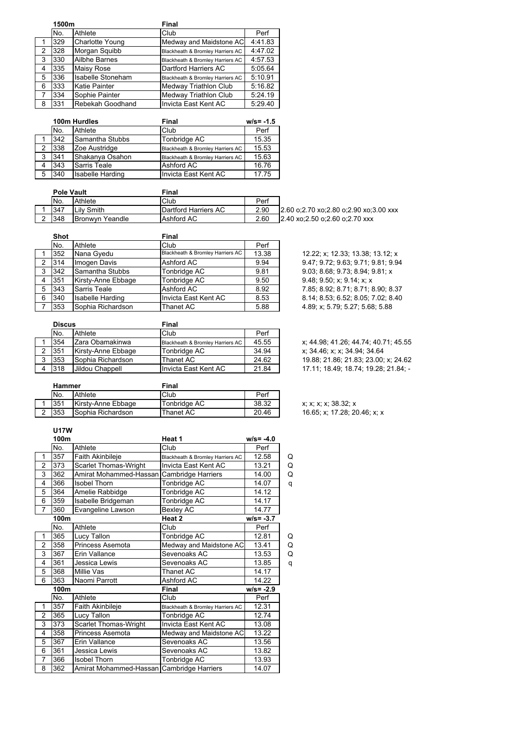|                | 1500m |                          | Final                            |         |
|----------------|-------|--------------------------|----------------------------------|---------|
|                | No.   | Athlete                  | Club                             | Perf    |
|                | 329   | <b>Charlotte Young</b>   | Medway and Maidstone AC          | 4:41.83 |
| 2              | 328   | Morgan Squibb            | Blackheath & Bromley Harriers AC | 4:47.02 |
| 3              | 330   | <b>Ailbhe Barnes</b>     | Blackheath & Bromley Harriers AC | 4:57.53 |
| 4              | 335   | <b>Maisy Rose</b>        | Dartford Harriers AC             | 5:05.64 |
| 5              | 336   | <b>Isabelle Stoneham</b> | Blackheath & Bromley Harriers AC | 5:10.91 |
| 6              | 333   | Katie Painter            | Medway Triathlon Club            | 5:16.82 |
| $\overline{7}$ | 334   | Sophie Painter           | <b>Medway Triathlon Club</b>     | 5:24.19 |
| 8              | 331   | Rebekah Goodhand         | Invicta East Kent AC             | 5:29.40 |

|   | 100m Hurdles |                  | Final                            | $w/s = -1.5$ |
|---|--------------|------------------|----------------------------------|--------------|
|   | No.          | Athlete          | Club                             | Perf         |
|   | 342          | Samantha Stubbs  | Tonbridge AC                     | 15.35        |
| 2 | 338          | Zoe Austridge    | Blackheath & Bromley Harriers AC | 15.53        |
| 3 | 341          | Shakanya Osahon  | Blackheath & Bromley Harriers AC | 15.63        |
| 4 | 343          | Sarris Teale     | Ashford AC                       | 16.76        |
| 5 | 340          | Isabelle Harding | Invicta East Kent AC             | 17.75        |

| <b>Pole Vault</b> |                        | Final                        |      |                                         |
|-------------------|------------------------|------------------------------|------|-----------------------------------------|
| No.               | Athlete                | Club                         | Perf |                                         |
| 347               | Lily Smith             | <b>IDartford Harriers AC</b> | 2.90 | 12.60 o:2.70 xo:2.80 o:2.90 xo:3.00 xxx |
| 348               | <b>Bronwyn Yeandle</b> | Ashford AC                   | 2.60 | 2.40 xo:2.50 o:2.60 o:2.70 xxx          |

|   | <b>Shot</b> |                     | Final                            |       |
|---|-------------|---------------------|----------------------------------|-------|
|   | No.         | Athlete             | Club                             | Perf  |
|   | 352         | Nana Gyedu          | Blackheath & Bromley Harriers AC | 13.38 |
| 2 | 314         | Imogen Davis        | Ashford AC                       | 9.94  |
| 3 | 342         | Samantha Stubbs     | Tonbridge AC                     | 9.81  |
| 4 | 351         | Kirsty-Anne Ebbage  | Tonbridge AC                     | 9.50  |
| 5 | 343         | <b>Sarris Teale</b> | Ashford AC                       | 8.92  |
| 6 | 340         | Isabelle Harding    | Invicta East Kent AC             | 8.53  |
| 7 | 353         | Sophia Richardson   | Thanet AC                        | 588   |

12.22; x; 12.33; 13.38; 13.12; x 2 314 Imogen Davis Ashford AC 9.94 9.47; 9.72; 9.63; 9.71; 9.81; 9.94 9.03; 8.68; 9.73; 8.94; 9.81; x 9.48; 9.50; x; 9.14; x; x 5 343 Sarris Teale Ashford AC 8.92 7.85; 8.92; 8.71; 8.71; 8.90; 8.37 6 340 Isabelle Harding Invicta East Kent AC 8.53 8.14; 8.53; 6.52; 8.05; 7.02; 8.40 4.89; x; 5.79; 5.27; 5.68; 5.88

|   | <b>Discus</b> |                    | Final                            |       |  |
|---|---------------|--------------------|----------------------------------|-------|--|
|   | No.           | Athlete            | Club                             | Perf  |  |
|   | 354           | Zara Obamakinwa    | Blackheath & Bromley Harriers AC | 45.55 |  |
|   | 351           | Kirsty-Anne Ebbage | Tonbridge AC                     | 34.94 |  |
| 3 | 353           | Sophia Richardson  | Thanet AC                        | 24.62 |  |
|   | 318           | Jildou Chappell    | Invicta East Kent AC             | 21.84 |  |
|   |               |                    |                                  |       |  |

x; 44.98; 41.26; 44.74; 40.71; 45.55 x; 34.46; x; x; 34.94; 34.64 19.88; 21.86; 21.83; 23.00; x; 24.62 17 11; 18 49; 18 74; 19 28; 21.84; -

| <b>Hammer</b> |                     | Final        |       |  |
|---------------|---------------------|--------------|-------|--|
| No.           | Athlete             | Club         | Perf  |  |
| 351           | IKirstv-Anne Ebbaαe | Tonbridge AC | 38.32 |  |
| 353           | ISophia Richardson  | Thanet AC    | 20.46 |  |

x; x; x; 38.32; x 16.65; x; 17.28; 20.46; x; x

#### **U17W**

 $\mathsf{l}$ 

|                | 100m |                                           | Heat 1                           | $w/s = -4.0$ |   |
|----------------|------|-------------------------------------------|----------------------------------|--------------|---|
|                | No.  | Athlete                                   | Club                             | Perf         |   |
| 1              | 357  | Faith Akinbileje                          | Blackheath & Bromley Harriers AC | 12.58        | Q |
| $\overline{2}$ | 373  | Scarlet Thomas-Wright                     | Invicta East Kent AC             | 13.21        | Q |
| 3              | 362  | Amirat Mohammed-Hassan                    | Cambridge Harriers               | 14.00        | Q |
| 4              | 366  | <b>Isobel Thorn</b>                       | Tonbridge AC                     | 14.07        | q |
| 5              | 364  | Amelie Rabbidge                           | Tonbridge AC                     | 14.12        |   |
| 6              | 359  | Isabelle Bridgeman                        | Tonbridge AC                     | 14.17        |   |
| $\overline{7}$ | 360  | Evangeline Lawson                         | Bexley AC                        | 14.77        |   |
|                | 100m |                                           | Heat 2                           | $w/s = -3.7$ |   |
|                | No.  | Athlete                                   | Club                             | Perf         |   |
| 1              | 365  | Lucy Tallon                               | Tonbridge AC                     | 12.81        | Q |
| $\overline{2}$ | 358  | Princess Asemota                          | Medway and Maidstone AC          | 13.41        | Q |
| 3              | 367  | Erin Vallance                             | Sevenoaks AC                     | 13.53        | Q |
| 4              | 361  | Jessica Lewis                             | Sevenoaks AC                     | 13.85        | q |
| 5              | 368  | Millie Vas                                | Thanet AC                        | 14.17        |   |
| 6              | 363  | Naomi Parrott                             | Ashford AC                       | 14.22        |   |
|                | 100m |                                           | Final                            | $w/s = -2.9$ |   |
|                | No.  | Athlete                                   | Club                             | Perf         |   |
| 1              | 357  | Faith Akinbileje                          | Blackheath & Bromley Harriers AC | 12.31        |   |
| $\overline{2}$ | 365  | Lucy Tallon                               | Tonbridge AC                     | 12.74        |   |
| 3              | 373  | Scarlet Thomas-Wright                     | Invicta East Kent AC             | 13.08        |   |
| 4              | 358  | Princess Asemota                          | Medway and Maidstone AC          | 13.22        |   |
| 5              | 367  | Erin Vallance                             | Sevenoaks AC                     | 13.56        |   |
| 6              | 361  | Jessica Lewis                             | Sevenoaks AC                     | 13.82        |   |
| 7              | 366  | <b>Isobel Thorn</b>                       | Tonbridge AC                     | 13.93        |   |
| 8              | 362  | Amirat Mohammed-Hassan Cambridge Harriers |                                  | 14.07        |   |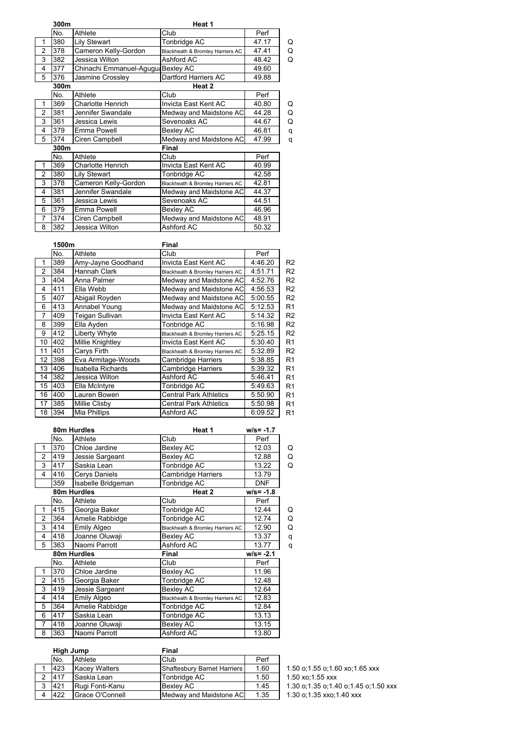|                | 300m |                                    | Heat 1                           |       |   |
|----------------|------|------------------------------------|----------------------------------|-------|---|
|                | No.  | Athlete                            | Club                             | Perf  |   |
| 1              | 380  | <b>Lily Stewart</b>                | Tonbridge AC                     | 47.17 | Q |
| $\overline{2}$ | 378  | Cameron Kelly-Gordon               | Blackheath & Bromley Harriers AC | 47.41 | Q |
| 3              | 382  | Jessica Wilton                     | Ashford AC                       | 48.42 | Q |
| 4              | 377  | Chinachi Emmanuel-Agugu: Bexley AC |                                  | 49.60 |   |
| 5              | 376  | Jasmine Crossley                   | <b>Dartford Harriers AC</b>      | 49.88 |   |
|                | 300m |                                    | Heat 2                           |       |   |
|                | No.  | Athlete                            | Club                             | Perf  |   |
| 1              | 369  | <b>Charlotte Henrich</b>           | Invicta East Kent AC             | 40.80 | Q |
| $\overline{2}$ | 381  | Jennifer Swandale                  | Medway and Maidstone AC          | 44.28 | Q |
| 3              | 361  | Jessica Lewis                      | Sevenoaks AC                     | 44.67 | Q |
| 4              | 379  | Emma Powell                        | Bexley AC                        | 46.81 | q |
| 5              | 374  | Ciren Campbell                     | Medway and Maidstone AC          | 47.99 | q |
|                | 300m |                                    | Final                            |       |   |
|                | No.  | Athlete                            | Club                             | Perf  |   |
| 1              | 369  | <b>Charlotte Henrich</b>           | Invicta East Kent AC             | 40.99 |   |
| 2              | 380  | <b>Lily Stewart</b>                | Tonbridge AC                     | 42.58 |   |
| 3              | 378  | Cameron Kelly-Gordon               | Blackheath & Bromley Harriers AC | 42.81 |   |
| 4              | 381  | Jennifer Swandale                  | Medway and Maidstone AC          | 44.37 |   |
| 5              | 361  | Jessica Lewis                      | Sevenoaks AC                     | 44.51 |   |
| 6              | 379  | Emma Powell                        | Bexley AC                        | 46.96 |   |
| 7              | 374  | Ciren Campbell                     | Medway and Maidstone AC          | 48.91 |   |
| 8              | 382  | Jessica Wilton                     | Ashford AC                       | 50.32 |   |

|                | 1500m |                          | Final                            |         |                |
|----------------|-------|--------------------------|----------------------------------|---------|----------------|
|                | No.   | Athlete                  | Club                             | Perf    |                |
| 1              | 389   | Amy-Jayne Goodhand       | Invicta East Kent AC             | 4:46.20 | R <sub>2</sub> |
| $\overline{2}$ | 384   | <b>Hannah Clark</b>      | Blackheath & Bromley Harriers AC | 4:51.71 | R <sub>2</sub> |
| 3              | 404   | Anna Palmer              | Medway and Maidstone AC          | 4:52.76 | R <sub>2</sub> |
| $\overline{4}$ | 411   | Ella Webb                | Medway and Maidstone AC          | 4:56.53 | R <sub>2</sub> |
| 5              | 407   | Abigail Royden           | Medway and Maidstone AC          | 5:00.55 | R <sub>2</sub> |
| 6              | 413   | Annabel Young            | Medway and Maidstone AC          | 5:12.53 | R <sub>1</sub> |
| 7              | 409   | Teigan Sullivan          | Invicta East Kent AC             | 5:14.32 | R <sub>2</sub> |
| 8              | 399   | Ella Ayden               | Tonbridge AC                     | 5:16.98 | R <sub>2</sub> |
| 9              | 412   | Liberty Whyte            | Blackheath & Bromley Harriers AC | 5:25.15 | R <sub>2</sub> |
| 10             | 402   | Millie Knightley         | Invicta East Kent AC             | 5:30.40 | R <sub>1</sub> |
| 11             | 401   | Carys Firth              | Blackheath & Bromley Harriers AC | 5:32.89 | R <sub>2</sub> |
| 12             | 398   | Eva Armitage-Woods       | Cambridge Harriers               | 5:38.85 | R <sub>1</sub> |
| 13             | 406   | <b>Isabella Richards</b> | <b>Cambridge Harriers</b>        | 5:39.32 | R <sub>1</sub> |
| 14             | 382   | Jessica Wilton           | Ashford AC                       | 5:46.41 | R <sub>1</sub> |
| 15             | 403   | Ella McIntyre            | Tonbridge AC                     | 5:49.63 | R <sub>1</sub> |
| 16             | 400   | Lauren Bowen             | <b>Central Park Athletics</b>    | 5:50.90 | R <sub>1</sub> |
| 17             | 385   | Millie Clisby            | <b>Central Park Athletics</b>    | 5:50.98 | R <sub>1</sub> |
| 18             | 394   | Mia Phillips             | Ashford AC                       | 6:09.52 | R <sub>1</sub> |

|                | 80m Hurdles |                    | Heat 1                           | $w/s = -1.7$ |   |
|----------------|-------------|--------------------|----------------------------------|--------------|---|
|                | No.         | Athlete            | Club                             | Perf         |   |
| 1              | 370         | Chloe Jardine      | <b>Bexley AC</b>                 | 12.03        | Q |
| $\overline{2}$ | 419         | Jessie Sargeant    | Bexley AC                        | 12.88        | Q |
| 3              | 417         | Saskia Lean        | Tonbridge AC                     | 13.22        | Q |
| 4              | 416         | Cerys Daniels      | <b>Cambridge Harriers</b>        | 13.79        |   |
|                | 359         | Isabelle Bridgeman | Tonbridge AC                     | <b>DNF</b>   |   |
|                |             | 80m Hurdles        | Heat 2                           | $w/s = -1.8$ |   |
|                | No.         | Athlete            | Club                             | Perf         |   |
| 1              | 415         | Georgia Baker      | Tonbridge AC                     | 12.44        | Q |
| $\overline{2}$ | 364         | Amelie Rabbidge    | Tonbridge AC                     | 12.74        | Q |
| 3              | 414         | Emily Algeo        | Blackheath & Bromley Harriers AC | 12.90        | Q |
| 4              | 418         | Joanne Oluwaji     | Bexley AC                        | 13.37        | q |
| 5              | 363         | Naomi Parrott      | Ashford AC                       | 13.77        | q |
|                |             | 80m Hurdles        | Final                            | $w/s = -2.1$ |   |
|                | No.         | Athlete            | Club                             | Perf         |   |
| 1              | 370         | Chloe Jardine      | Bexley AC                        | 11.96        |   |
| 2              | 415         | Georgia Baker      | Tonbridge AC                     | 12.48        |   |
| 3              | 419         | Jessie Sargeant    | <b>Bexley AC</b>                 | 12.64        |   |
| 4              | 414         | Emily Algeo        | Blackheath & Bromley Harriers AC | 12.83        |   |
| 5              | 364         | Amelie Rabbidge    | Tonbridge AC                     | 12.84        |   |
| 6              | 417         | Saskia Lean        | Tonbridge AC                     | 13.13        |   |
| 7              | 418         | Joanne Oluwaji     | Bexley AC                        | 13.15        |   |
| 8              | 363         | Naomi Parrott      | Ashford AC                       | 13.80        |   |
|                |             |                    |                                  |              |   |

| High Jump |                      | Final                       |      |                                          |
|-----------|----------------------|-----------------------------|------|------------------------------------------|
| No.       | Athlete              | Club                        | Perf |                                          |
| 423       | <b>Kacev Walters</b> | Shaftesburv Barnet Harriers | 1.60 | 1.50 o;1.55 o;1.60 xo;1.65 xxx           |
| 417       | Saskia Lean          | Tonbridge AC                | 1.50 | 1.50 xo:1.55 xxx                         |
| 421       | Rugi Fonti-Kanu      | <b>Bexley AC</b>            | 1.45 | 1.30 o; 1.35 o; 1.40 o; 1.45 o; 1.50 xxx |
| 422       | Grace O'Connell      | Medway and Maidstone AC     | 1.35 | 1.30 o; 1.35 xxo; 1.40 xxx               |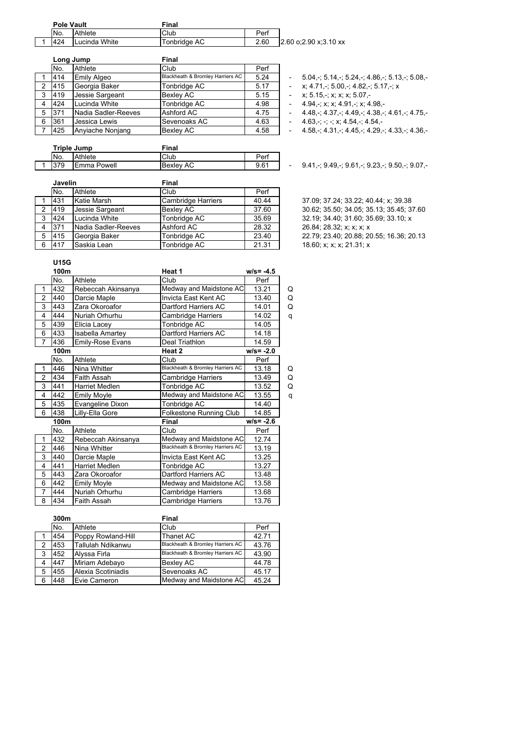| <b>Pole Vault</b> |                 | Final        |      |                         |
|-------------------|-----------------|--------------|------|-------------------------|
| No.               | Athlete         | Club         | Perf |                         |
| 424               | I Lucinda White | Tonbridge AC | 2.60 | $2.60$ o:2.90 x:3.10 xx |

|   | Long Jump |                      | <b>Final</b>                     |      |  |
|---|-----------|----------------------|----------------------------------|------|--|
|   | No.       | Athlete              | Club                             | Perf |  |
|   | 414       | Emily Algeo          | Blackheath & Bromley Harriers AC | 5.24 |  |
| 2 | 415       | Georgia Baker        | Tonbridge AC                     | 5.17 |  |
| 3 | 419       | Jessie Sargeant      | <b>Bexley AC</b>                 | 5.15 |  |
| 4 | 424       | Lucinda White        | Tonbridge AC                     | 4.98 |  |
| 5 | 371       | Nadia Sadler-Reeves  | Ashford AC                       | 4.75 |  |
| 6 | 361       | <b>Jessica Lewis</b> | Sevenoaks AC                     | 4.63 |  |
|   | 425       | Anyiache Nonjang     | <b>Bexley AC</b>                 | 4.58 |  |

| Triple Jump     |                    | Final     |      |  |
|-----------------|--------------------|-----------|------|--|
| IN <sub>o</sub> | Athlete            | Club      | Perf |  |
| 379             | <b>Emma Powell</b> | Bexley AC | 9.61 |  |

|                      | Javelin |                     | Final              |       |                                      |
|----------------------|---------|---------------------|--------------------|-------|--------------------------------------|
|                      | No.     | Athlete             | Club               | Perf  |                                      |
|                      | 431     | Katie Marsh         | Cambridge Harriers | 40.44 | 37.09; 37.24; 33.22; 40.44; x; 39.38 |
| $\mathcal{P} \equiv$ | 419     | Jessie Sargeant     | <b>Bexley AC</b>   | 37.60 | 30.62; 35.50; 34.05; 35.13; 35.45; 3 |
| 3                    | 424     | Lucinda White       | Tonbridge AC       | 35.69 | 32.19; 34.40; 31.60; 35.69; 33.10; x |
| 4                    | - 371   | Nadia Sadler-Reeves | Ashford AC         | 28.32 | 26.84; 28.32; x; x; x; x             |
| 5.                   | 415     | Georgia Baker       | Tonbridge AC       | 23.40 | 22.79; 23.40; 20.88; 20.55; 16.36; 2 |
| 6                    | 417     | Saskia Lean         | Tonbridge AC       | 21.31 | 18.60: x: x: x: 21.31: x             |

# $-5.04,$ -; 5.14,-; 5.24,-; 4.86,-; 5.13,-; 5.08,-

- $-$  x; 4.71,-; 5.00,-; 4.82,-; 5.17,-; x
- 3 x; 5.15,-; x; x; x; 5.07,-<br>4.94,-; x; x; 4.91,-; x; 4
- 4.94,-; x; x; 4.91,-; x; 4.98,-
- $-4.48, -$ ; 4.37,-; 4.49,-; 4.38,-; 4.61,-; 4.75,-
- $-4.63, -; -; x; 4.54, -; 4.54, -$
- $-4.58$ ,-; 4.31,-; 4.45,-; 4.29,-; 4.33,-; 4.36,-

1 379 Beach Beach Beach Beach Beach Beach Beach Beach Beach Beach Beach Beach Beach Beach Beach Beach

37.09; 37.24; 33.22; 40.44; x; 39.38 2 419 Jessie Sargeant Bexley AC 37.60 30.62; 35.50; 34.05; 35.13; 35.45; 37.60 22.79; 23.40; 20.88; 20.55; 16.36; 20.13 18.60; x; x; x; 21.31; x

## **U15G**

|                | 100m |                         | Heat 1                           | $w/s = -4.5$ |   |
|----------------|------|-------------------------|----------------------------------|--------------|---|
|                | No.  | Athlete                 | Club                             | Perf         |   |
| 1              | 432  | Rebeccah Akinsanya      | Medway and Maidstone AC          | 13.21        | Q |
| $\overline{2}$ | 440  | Darcie Maple            | Invicta East Kent AC             | 13.40        | Q |
| 3              | 443  | Zara Okoroafor          | Dartford Harriers AC             | 14.01        | Q |
| 4              | 444  | Nuriah Orhurhu          | Cambridge Harriers               | 14.02        | q |
| 5              | 439  | Elicia Lacey            | Tonbridge AC                     | 14.05        |   |
| 6              | 433  | <b>Isabella Amartey</b> | Dartford Harriers AC             | 14.18        |   |
| 7              | 436  | <b>Emily-Rose Evans</b> | Deal Triathlon                   | 14.59        |   |
|                | 100m |                         | Heat 2                           | $w/s = -2.0$ |   |
|                | No.  | Athlete                 | Club                             | Perf         |   |
| 1              | 446  | Nina Whitter            | Blackheath & Bromley Harriers AC | 13.18        | Q |
| $\overline{2}$ | 434  | Faith Assah             | Cambridge Harriers               | 13.49        | Q |
| 3              | 441  | <b>Harriet Medlen</b>   | Tonbridge AC                     | 13.52        | Q |
| 4              | 442  | <b>Emily Moyle</b>      | Medway and Maidstone AC          | 13.55        | q |
| 5              | 435  | Evangeline Dixon        | Tonbridge AC                     | 14.40        |   |
| 6              | 438  | Lilly-Ella Gore         | Folkestone Running Club          | 14.85        |   |
|                | 100m |                         | Final                            | $w/s = -2.6$ |   |
|                | No.  | Athlete                 | Club                             | Perf         |   |
| 1              | 432  | Rebeccah Akinsanya      | Medway and Maidstone AC          | 12.74        |   |
| 2              | 446  | Nina Whitter            | Blackheath & Bromley Harriers AC | 13.19        |   |
| 3              | 440  | Darcie Maple            | Invicta East Kent AC             | 13.25        |   |
| 4              | 441  | <b>Harriet Medlen</b>   | Tonbridge AC                     | 13.27        |   |
| 5              | 443  | Zara Okoroafor          | Dartford Harriers AC             | 13.48        |   |
| 6              | 442  | <b>Emily Moyle</b>      | Medway and Maidstone AC          | 13.58        |   |
| $\overline{7}$ | 444  | Nuriah Orhurhu          | Cambridge Harriers               | 13.68        |   |
| 8              | 434  | Faith Assah             | Cambridge Harriers               | 13.76        |   |

|   | 300m |                    | Final                            |       |
|---|------|--------------------|----------------------------------|-------|
|   | No.  | Athlete            | Club                             | Perf  |
|   | 454  | Poppy Rowland-Hill | <b>Thanet AC</b>                 | 42.71 |
| 2 | 453  | Tallulah Ndikanwu  | Blackheath & Bromley Harriers AC | 43.76 |
| 3 | 452  | Alyssa Firla       | Blackheath & Bromley Harriers AC | 43.90 |
| 4 | 447  | Miriam Adebayo     | <b>Bexley AC</b>                 | 44.78 |
| 5 | 455  | Alexia Scotiniadis | Sevenoaks AC                     | 45.17 |
| 6 | 448  | Evie Cameron       | Medway and Maidstone AC          | 45.24 |